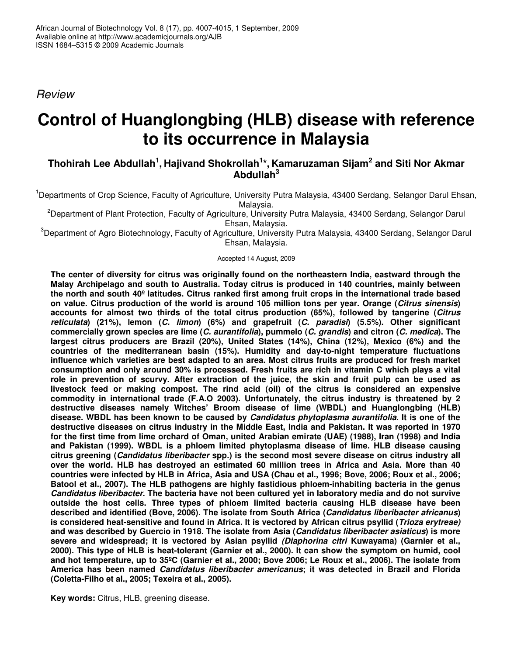*Review*

# **Control of Huanglongbing (HLB) disease with reference to its occurrence in Malaysia**

## **Thohirah Lee Abdullah 1 , Hajivand Shokrollah 1 \*, Kamaruzaman Sijam 2 and Siti Nor Akmar Abdullah 3**

<sup>1</sup>Departments of Crop Science, Faculty of Agriculture, University Putra Malaysia, 43400 Serdang, Selangor Darul Ehsan, Malaysia.

<sup>2</sup>Department of Plant Protection, Faculty of Agriculture, University Putra Malaysia, 43400 Serdang, Selangor Darul Ehsan, Malaysia.

<sup>3</sup>Department of Agro Biotechnology, Faculty of Agriculture, University Putra Malaysia, 43400 Serdang, Selangor Darul Ehsan, Malaysia.

## Accepted 14 August, 2009

**The center of diversity for citrus was originally found on the northeastern India, eastward through the Malay Archipelago and south to Australia. Today citrus is produced in 140 countries, mainly between the north and south 40º latitudes. Citrus ranked first among fruit crops in the international trade based** on value. Citrus production of the world is around 105 million tons per year. Orange (Citrus sinensis) **accounts for almost two thirds of the total citrus production (65%), followed by tangerine (***Citrus reticulata***) (21%), lemon (***C. limon***) (6%) and grapefruit (***C. paradisi***) (5.5%). Other significant** commercially grown species are lime (C. aurantifolia), pummelo (C. grandis) and citron (C. medica). The **largest citrus producers are Brazil (20%), United States (14%), China (12%), Mexico (6%) and the countries of the mediterranean basin (15%). Humidity and day-to-night temperature fluctuations influence which varieties are best adapted to an area. Most citrus fruits are produced for fresh market** consumption and only around 30% is processed. Fresh fruits are rich in vitamin C which plays a vital role in prevention of scurvy. After extraction of the juice, the skin and fruit pulp can be used as **livestock feed or making compost. The rind acid (oil) of the citrus is considered an expensive commodity in international trade (F.A.O 2003). Unfortunately, the citrus industry is threatened by 2 destructive diseases namely Witches' Broom disease of lime (WBDL) and Huanglongbing (HLB) disease. WBDL has been known to be caused by** *Candidatus phytoplasma aurantifolia***. It is one of the destructive diseases on citrus industry in the Middle East, India and Pakistan. It was reported in 1970** for the first time from lime orchard of Oman, united Arabian emirate (UAE) (1988), Iran (1998) and India **and Pakistan (1999). WBDL is a phloem limited phytoplasma disease of lime. HLB disease causing citrus greening (***Candidatus liberibacter* **spp.) is the second most severe disease on citrus industry all over the world. HLB has destroyed an estimated 60 million trees in Africa and Asia. More than 40** countries were infected by HLB in Africa, Asia and USA (Chau et al., 1996; Bove, 2006; Roux et al., 2006; **Batool et al., 2007). The HLB pathogens are highly fastidious phloem-inhabiting bacteria in the genus** *Candidatus liberibacter***. The bacteria have not been cultured yet in laboratory media and do not survive outside the host cells. Three types of phloem limited bacteria causing HLB disease have been described and identified (Bove, 2006). The isolate from South Africa (***Candidatus liberibacter africanus***)** is considered heat-sensitive and found in Africa. It is vectored by African citrus psyllid (*Trioza erytreae*) and was described by Guercio in 1918. The isolate from Asia (Candidatus liberibacter asiaticus) is more **severe and widespread; it is vectored by Asian psyllid** *(Diaphorina citri* **Kuwayama) (Garnier et al.,** 2000). This type of HLB is heat-tolerant (Garnier et al., 2000). It can show the symptom on humid, cool and hot temperature, up to 35°C (Garnier et al., 2000; Bove 2006; Le Roux et al., 2006). The isolate from **America has been named** *Candidatus liberibacter americanus***; it was detected in Brazil and Florida (Coletta-Filho et al., 2005; Texeira et al., 2005).**

**Key words:** Citrus, HLB, greening disease.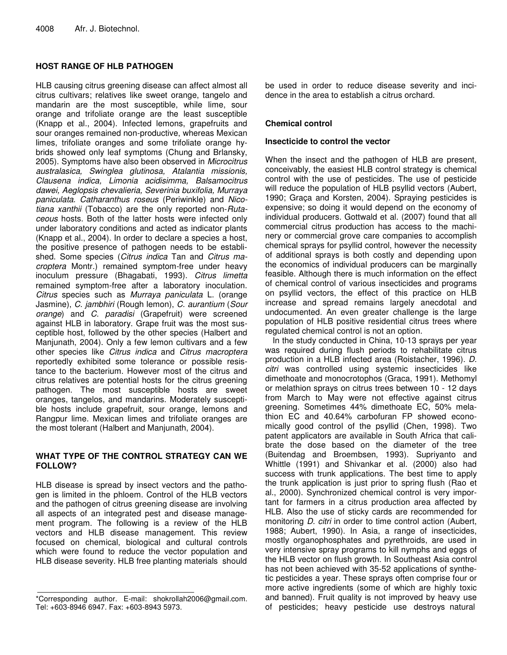## **HOST RANGE OF HLB PATHOGEN**

HLB causing citrus greening disease can affect almost all citrus cultivars; relatives like sweet orange, tangelo and mandarin are the most susceptible, while lime, sour orange and trifoliate orange are the least susceptible (Knapp et al., 2004). Infected lemons, grapefruits and sour oranges remained non-productive, whereas Mexican limes, trifoliate oranges and some trifoliate orange hybrids showed only leaf symptoms (Chung and Brlansky, 2005). Symptoms have also been observed in *Microcitrus australasica, Swinglea glutinosa, Atalantia missionis, Clausena indica, Limonia acidisimma, Balsamocitrus dawei, Aeglopsis chevalieria, Severinia buxifolia, Murraya paniculata*. *Catharanthus roseus* (Periwinkle) and *Nicotiana xanthii* (Tobacco) are the only reported non-*Rutaceous* hosts. Both of the latter hosts were infected only under laboratory conditions and acted as indicator plants (Knapp et al., 2004). In order to declare a species a host, the positive presence of pathogen needs to be established. Some species (*Citrus indica* Tan and *Citrus macroptera* Montr.) remained symptom-free under heavy inoculum pressure (Bhagabati, 1993). *Citrus limetta* remained symptom-free after a laboratory inoculation. *Citrus* species such as *Murraya paniculata* L. (orange Jasmine), *C. jambhiri* (Rough lemon), *C. aurantium* (*Sour orange*) and *C. paradisi* (Grapefruit) were screened against HLB in laboratory. Grape fruit was the most susceptible host, followed by the other species (Halbert and Manjunath, 2004). Only a few lemon cultivars and a few other species like *Citrus indica* and *Citrus macroptera* reportedly exhibited some tolerance or possible resistance to the bacterium. However most of the citrus and citrus relatives are potential hosts for the citrus greening pathogen. The most susceptible hosts are sweet oranges, tangelos, and mandarins. Moderately susceptible hosts include grapefruit, sour orange, lemons and Rangpur lime. Mexican limes and trifoliate oranges are the most tolerant (Halbert and Manjunath, 2004).

## **WHAT TYPE OF THE CONTROL STRATEGY CAN WE FOLLOW?**

HLB disease is spread by insect vectors and the pathogen is limited in the phloem. Control of the HLB vectors and the pathogen of citrus greening disease are involving all aspects of an integrated pest and disease management program. The following is a review of the HLB vectors and HLB disease management. This review focused on chemical, biological and cultural controls which were found to reduce the vector population and HLB disease severity. HLB free planting materials should

be used in order to reduce disease severity and incidence in the area to establish a citrus orchard.

## **Chemical control**

## **Insecticide to control the vector**

When the insect and the pathogen of HLB are present, conceivably, the easiest HLB control strategy is chemical control with the use of pesticides. The use of pesticide will reduce the population of HLB psyllid vectors (Aubert, 1990; Graça and Korsten, 2004). Spraying pesticides is expensive; so doing it would depend on the economy of individual producers. Gottwald et al. (2007) found that all commercial citrus production has access to the machinery or commercial grove care companies to accomplish chemical sprays for psyllid control, however the necessity of additional sprays is both costly and depending upon the economics of individual producers can be marginally feasible. Although there is much information on the effect of chemical control of various insecticides and programs on psyllid vectors, the effect of this practice on HLB increase and spread remains largely anecdotal and undocumented. An even greater challenge is the large population of HLB positive residential citrus trees where regulated chemical control is not an option.

In the study conducted in China, 10-13 sprays per year was required during flush periods to rehabilitate citrus production in a HLB infected area (Roistacher, 1996). *D. citri* was controlled using systemic insecticides like dimethoate and monocrotophos (Graca, 1991). Methomyl or melathion sprays on citrus trees between 10 - 12 days from March to May were not effective against citrus greening. Sometimes 44% dimethoate EC, 50% melathion EC and 40.64% carbofuran FP showed economically good control of the psyllid (Chen, 1998). Two patent applicators are available in South Africa that calibrate the dose based on the diameter of the tree (Buitendag and Broembsen, 1993). Supriyanto and Whittle (1991) and Shivankar et al. (2000) also had success with trunk applications. The best time to apply the trunk application is just prior to spring flush (Rao et al., 2000). Synchronized chemical control is very important for farmers in a citrus production area affected by HLB. Also the use of sticky cards are recommended for monitoring *D. citri* in order to time control action (Aubert, 1988; Aubert, 1990). In Asia, a range of insecticides, mostly organophosphates and pyrethroids, are used in very intensive spray programs to kill nymphs and eggs of the HLB vector on flush growth. In Southeast Asia control has not been achieved with 35-52 applications of synthetic pesticides a year. These sprays often comprise four or more active ingredients (some of which are highly toxic and banned). Fruit quality is not improved by heavy use of pesticides; heavy pesticide use destroys natural

<sup>\*</sup>Corresponding author. E-mail: shokrollah2006@gmail.com. Tel: +603-8946 6947. Fax: +603-8943 5973.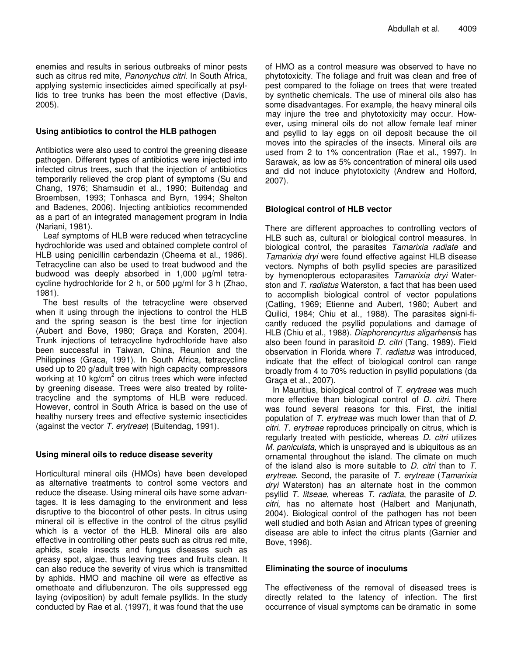enemies and results in serious outbreaks of minor pests such as citrus red mite, *Panonychus citri*. In South Africa, applying systemic insecticides aimed specifically at psyllids to tree trunks has been the most effective (Davis, 2005).

## **Using antibiotics to control the HLB pathogen**

Antibiotics were also used to control the greening disease pathogen. Different types of antibiotics were injected into infected citrus trees, such that the injection of antibiotics temporarily relieved the crop plant of symptoms (Su and Chang, 1976; Shamsudin et al., 1990; Buitendag and Broembsen, 1993; Tonhasca and Byrn, 1994; Shelton and Badenes, 2006). Injecting antibiotics recommended as a part of an integrated management program in India (Nariani, 1981).

Leaf symptoms of HLB were reduced when tetracycline hydrochloride was used and obtained complete control of HLB using penicillin carbendazin (Cheema et al., 1986). Tetracycline can also be used to treat budwood and the budwood was deeply absorbed in  $1,000$   $\mu$ g/ml tetracycline hydrochloride for 2 h, or 500  $\mu$ g/ml for 3 h (Zhao, 1981).

The best results of the tetracycline were observed when it using through the injections to control the HLB and the spring season is the best time for injection (Aubert and Bove, 1980; Graça and Korsten, 2004). Trunk injections of tetracycline hydrochloride have also been successful in Taiwan, China, Reunion and the Philippines (Graca, 1991). In South Africa, tetracycline used up to 20 g/adult tree with high capacity compressors working at 10 kg/cm<sup>2</sup> on citrus trees which were infected by greening disease. Trees were also treated by rolitetracycline and the symptoms of HLB were reduced. However, control in South Africa is based on the use of healthy nursery trees and effective systemic insecticides (against the vector *T. erytreae*) (Buitendag, 1991).

## **Using mineral oils to reduce disease severity**

Horticultural mineral oils (HMOs) have been developed as alternative treatments to control some vectors and reduce the disease. Using mineral oils have some advantages. It is less damaging to the environment and less disruptive to the biocontrol of other pests. In citrus using mineral oil is effective in the control of the citrus psyllid which is a vector of the HLB. Mineral oils are also effective in controlling other pests such as citrus red mite, aphids, scale insects and fungus diseases such as greasy spot, algae, thus leaving trees and fruits clean. It can also reduce the severity of virus which is transmitted by aphids. HMO and machine oil were as effective as omethoate and diflubenzuron. The oils suppressed egg laying (oviposition) by adult female psyllids. In the study conducted by Rae et al. (1997), it was found that the use

of HMO as a control measure was observed to have no phytotoxicity. The foliage and fruit was clean and free of pest compared to the foliage on trees that were treated by synthetic chemicals. The use of mineral oils also has some disadvantages. For example, the heavy mineral oils may injure the tree and phytotoxicity may occur. However, using mineral oils do not allow female leaf miner and psyllid to lay eggs on oil deposit because the oil moves into the spiracles of the insects. Mineral oils are used from 2 to 1% concentration (Rae et al., 1997). In Sarawak, as low as 5% concentration of mineral oils used and did not induce phytotoxicity (Andrew and Holford, 2007).

## **Biological control of HLB vector**

There are different approaches to controlling vectors of HLB such as, cultural or biological control measures. In biological control, the parasites *Tamarixia radiate* and *Tamarixia dryi* were found effective against HLB disease vectors. Nymphs of both psyllid species are parasitized by hymenopterous ectoparasites *Tamarixia dryi* Waterston and *T. radiatus* Waterston, a fact that has been used to accomplish biological control of vector populations (Catling, 1969; Etienne and Aubert, 1980; Aubert and Quilici, 1984; Chiu et al., 1988). The parasites signi-ficantly reduced the psyllid populations and damage of HLB (Chiu et al., 1988). *Diaphorencyrtus aligarhensis* has also been found in parasitoid *D. citri* (Tang, 1989). Field observation in Florida where *T. radiatus* was introduced, indicate that the effect of biological control can range broadly from 4 to 70% reduction in psyllid populations (da Graça et al., 2007).

In Mauritius, biological control of *T. erytreae* was much more effective than biological control of *D. citri*. There was found several reasons for this. First, the initial population of *T. erytreae* was much lower than that of *D. citri. T. erytreae* reproduces principally on citrus, which is regularly treated with pesticide, whereas *D. citri* utilizes *M. paniculata*, which is unsprayed and is ubiquitous as an ornamental throughout the island. The climate on much of the island also is more suitable to *D. citri* than to *T. erytreae*. Second, the parasite of *T. erytreae* (*Tamarixia dryi* Waterston) has an alternate host in the common psyllid *T. litseae*, whereas *T. radiata*, the parasite of *D. citri*, has no alternate host (Halbert and Manjunath, 2004). Biological control of the pathogen has not been well studied and both Asian and African types of greening disease are able to infect the citrus plants (Garnier and Bove, 1996).

## **Eliminating the source of inoculums**

The effectiveness of the removal of diseased trees is directly related to the latency of infection. The first occurrence of visual symptoms can be dramatic in some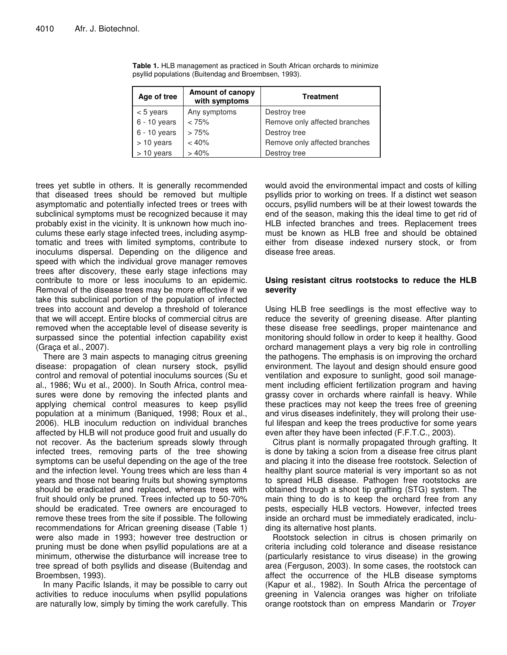| Age of tree    | <b>Amount of canopy</b><br>with symptoms | <b>Treatment</b>              |  |  |  |
|----------------|------------------------------------------|-------------------------------|--|--|--|
| $< 5$ years    | Any symptoms                             | Destroy tree                  |  |  |  |
| $6 - 10$ years | < 75%                                    | Remove only affected branches |  |  |  |
| $6 - 10$ years | >75%                                     | Destroy tree                  |  |  |  |
| $> 10$ years   | < 40%                                    | Remove only affected branches |  |  |  |
| $> 10$ years   | >40%                                     | Destroy tree                  |  |  |  |

**Table 1.** HLB management as practiced in South African orchards to minimize psyllid populations (Buitendag and Broembsen, 1993).

trees yet subtle in others. It is generally recommended that diseased trees should be removed but multiple asymptomatic and potentially infected trees or trees with subclinical symptoms must be recognized because it may probably exist in the vicinity. It is unknown how much inoculums these early stage infected trees, including asymptomatic and trees with limited symptoms, contribute to inoculums dispersal. Depending on the diligence and speed with which the individual grove manager removes trees after discovery, these early stage infections may contribute to more or less inoculums to an epidemic. Removal of the disease trees may be more effective if we take this subclinical portion of the population of infected trees into account and develop a threshold of tolerance that we will accept. Entire blocks of commercial citrus are removed when the acceptable level of disease severity is surpassed since the potential infection capability exist (Graça et al., 2007).

There are 3 main aspects to managing citrus greening disease: propagation of clean nursery stock, psyllid control and removal of potential inoculums sources (Su et al., 1986; Wu et al., 2000). In South Africa, control measures were done by removing the infected plants and applying chemical control measures to keep psyllid population at a minimum (Baniqued, 1998; Roux et al., 2006). HLB inoculum reduction on individual branches affected by HLB will not produce good fruit and usually do not recover. As the bacterium spreads slowly through infected trees, removing parts of the tree showing symptoms can be useful depending on the age of the tree and the infection level. Young trees which are less than 4 years and those not bearing fruits but showing symptoms should be eradicated and replaced, whereas trees with fruit should only be pruned. Trees infected up to 50-70% should be eradicated. Tree owners are encouraged to remove these trees from the site if possible. The following recommendations for African greening disease (Table 1) were also made in 1993; however tree destruction or pruning must be done when psyllid populations are at a minimum, otherwise the disturbance will increase tree to tree spread of both psyllids and disease (Buitendag and Broembsen, 1993).

In many Pacific Islands, it may be possible to carry out activities to reduce inoculums when psyllid populations are naturally low, simply by timing the work carefully. This

would avoid the environmental impact and costs of killing psyllids prior to working on trees. If a distinct wet season occurs, psyllid numbers will be at their lowest towards the end of the season, making this the ideal time to get rid of HLB infected branches and trees. Replacement trees must be known as HLB free and should be obtained either from disease indexed nursery stock, or from disease free areas.

#### **Using resistant citrus rootstocks to reduce the HLB severity**

Using HLB free seedlings is the most effective way to reduce the severity of greening disease. After planting these disease free seedlings, proper maintenance and monitoring should follow in order to keep it healthy. Good orchard management plays a very big role in controlling the pathogens. The emphasis is on improving the orchard environment. The layout and design should ensure good ventilation and exposure to sunlight, good soil management including efficient fertilization program and having grassy cover in orchards where rainfall is heavy. While these practices may not keep the trees free of greening and virus diseases indefinitely, they will prolong their useful lifespan and keep the trees productive for some years even after they have been infected (F.F.T.C., 2003).

Citrus plant is normally propagated through grafting. It is done by taking a scion from a disease free citrus plant and placing it into the disease free rootstock. Selection of healthy plant source material is very important so as not to spread HLB disease. Pathogen free rootstocks are obtained through a shoot tip grafting (STG) system. The main thing to do is to keep the orchard free from any pests, especially HLB vectors. However, infected trees inside an orchard must be immediately eradicated, including its alternative host plants.

Rootstock selection in citrus is chosen primarily on criteria including cold tolerance and disease resistance (particularly resistance to virus disease) in the growing area (Ferguson, 2003). In some cases, the rootstock can affect the occurrence of the HLB disease symptoms (Kapur et al., 1982). In South Africa the percentage of greening in Valencia oranges was higher on trifoliate orange rootstock than on empress Mandarin or *Troyer*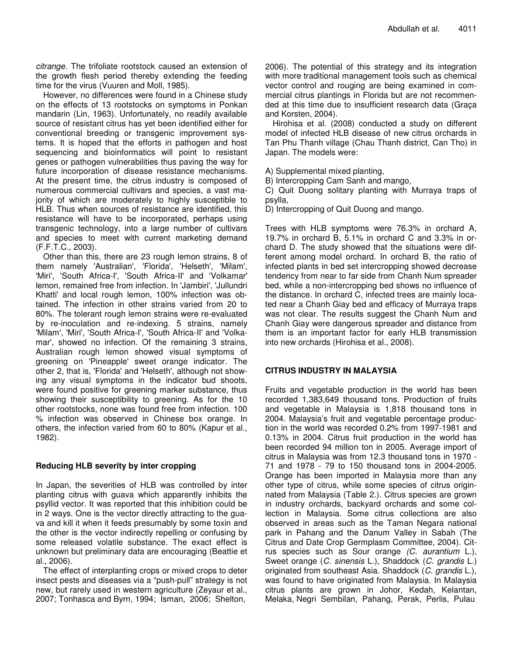*citrange*. The trifoliate rootstock caused an extension of the growth flesh period thereby extending the feeding time for the virus (Vuuren and Moll, 1985).

However, no differences were found in a Chinese study on the effects of 13 rootstocks on symptoms in Ponkan mandarin (Lin, 1963). Unfortunately, no readily available source of resistant citrus has yet been identified either for conventional breeding or transgenic improvement systems. It is hoped that the efforts in pathogen and host sequencing and bioinformatics will point to resistant genes or pathogen vulnerabilities thus paving the way for future incorporation of disease resistance mechanisms. At the present time, the citrus industry is composed of numerous commercial cultivars and species, a vast majority of which are moderately to highly susceptible to HLB. Thus when sources of resistance are identified, this resistance will have to be incorporated, perhaps using transgenic technology, into a large number of cultivars and species to meet with current marketing demand (F.F.T.C., 2003).

Other than this, there are 23 rough lemon strains, 8 of them namely 'Australian', 'Florida', 'Helseth', 'Milam', 'Miri', 'South Africa-I', 'South Africa-II' and 'Volkamar' lemon, remained free from infection. In 'Jambiri', 'Jullundri Khatti' and local rough lemon, 100% infection was obtained. The infection in other strains varied from 20 to 80%. The tolerant rough lemon strains were re-evaluated by re-inoculation and re-indexing. 5 strains, namely 'Milam', 'Miri', 'South Africa-I', 'South Africa-II' and 'Volkamar', showed no infection. Of the remaining 3 strains, Australian rough lemon showed visual symptoms of greening on 'Pineapple' sweet orange indicator. The other 2, that is, 'Florida' and 'Helseth', although not showing any visual symptoms in the indicator bud shoots, were found positive for greening marker substance, thus showing their susceptibility to greening. As for the 10 other rootstocks, none was found free from infection. 100 % infection was observed in Chinese box orange. In others, the infection varied from 60 to 80% (Kapur et al., 1982).

## **Reducing HLB severity by inter cropping**

In Japan, the severities of HLB was controlled by inter planting citrus with guava which apparently inhibits the psyllid vector. It was reported that this inhibition could be in 2 ways. One is the vector directly attracting to the guava and kill it when it feeds presumably by some toxin and the other is the vector indirectly repelling or confusing by some released volatile substance. The exact effect is unknown but preliminary data are encouraging (Beattie et al., 2006).

The effect of interplanting crops or mixed crops to deter insect pests and diseases via a "push-pull" strategy is not new, but rarely used in western agriculture (Zeyaur et al., 2007; Tonhasca and Byrn, 1994; Isman, 2006; Shelton,

2006). The potential of this strategy and its integration with more traditional management tools such as chemical vector control and rouging are being examined in commercial citrus plantings in Florida but are not recommended at this time due to insufficient research data (Graça and Korsten, 2004).

Hirohisa et al. (2008) conducted a study on different model of infected HLB disease of new citrus orchards in Tan Phu Thanh village (Chau Thanh district, Can Tho) in Japan. The models were:

A) Supplemental mixed planting,

B) Intercropping Cam Sanh and mango,

C) Quit Duong solitary planting with Murraya traps of psylla,

D) Intercropping of Quit Duong and mango.

Trees with HLB symptoms were 76.3% in orchard A, 19.7% in orchard B, 5.1% in orchard C and 3.3% in orchard D. The study showed that the situations were different among model orchard. In orchard B, the ratio of infected plants in bed set intercropping showed decrease tendency from near to far side from Chanh Num spreader bed, while a non-intercropping bed shows no influence of the distance. In orchard C, infected trees are mainly located near a Chanh Giay bed and efficacy of Murraya traps was not clear. The results suggest the Chanh Num and Chanh Giay were dangerous spreader and distance from them is an important factor for early HLB transmission into new orchards (Hirohisa et al., 2008).

## **CITRUS INDUSTRY IN MALAYSIA**

Fruits and vegetable production in the world has been recorded 1,383,649 thousand tons. Production of fruits and vegetable in Malaysia is 1,818 thousand tons in 2004. Malaysia's fruit and vegetable percentage production in the world was recorded 0.2% from 1997-1981 and 0.13% in 2004. Citrus fruit production in the world has been recorded 94 million ton in 2005. Average import of citrus in Malaysia was from 12.3 thousand tons in 1970 - 71 and 1978 - 79 to 150 thousand tons in 2004-2005. Orange has been imported in Malaysia more than any other type of citrus, while some species of citrus originnated from Malaysia (Table 2.). Citrus species are grown in industry orchards, backyard orchards and some collection in Malaysia. Some citrus collections are also observed in areas such as the Taman Negara national park in Pahang and the Danum Valley in Sabah (The Citrus and Date Crop Germplasm Committee, 2004). Citrus species such as Sour orange *(C. aurantium* L.), Sweet orange (*C. sinensis* L.), Shaddock (*C. grandis* L.) originated from southeast Asia. Shaddock (*C. grandis* L.), was found to have originated from Malaysia. In Malaysia citrus plants are grown in Johor, Kedah, Kelantan, Melaka, Negri Sembilan, Pahang, Perak, Perlis, Pulau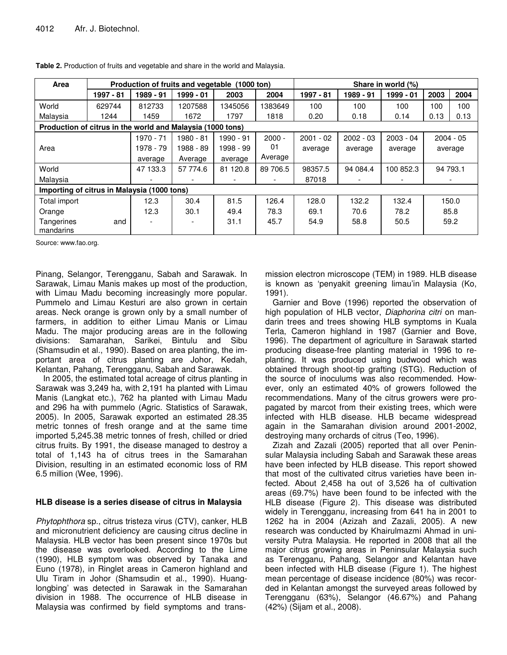| Area                                                       |           |           | Production of fruits and vegetable (1000 ton) |           | Share in world (%)       |             |             |             |                        |          |  |  |
|------------------------------------------------------------|-----------|-----------|-----------------------------------------------|-----------|--------------------------|-------------|-------------|-------------|------------------------|----------|--|--|
|                                                            | 1997 - 81 | 1989 - 91 | 1999 - 01                                     | 2003      | 2004                     | 1997 - 81   | 1989 - 91   | 1999 - 01   | 2003                   | 2004     |  |  |
| World                                                      | 629744    | 812733    | 1207588                                       | 1345056   | 1383649                  | 100         | 100         | 100         | 100                    | 100      |  |  |
| Malaysia                                                   | 1244      | 1459      | 1672                                          | 1797      | 1818                     | 0.20        | 0.18        | 0.14        | 0.13                   | 0.13     |  |  |
| Production of citrus in the world and Malaysia (1000 tons) |           |           |                                               |           |                          |             |             |             |                        |          |  |  |
| Area                                                       |           | 1970 - 71 | 1980 - 81                                     | 1990 - 91 | $2000 -$                 | $2001 - 02$ | $2002 - 03$ | $2003 - 04$ | $2004 - 05$<br>average |          |  |  |
|                                                            |           | 1978 - 79 | 1988 - 89                                     | 1998 - 99 | 01                       | average     | average     | average     |                        |          |  |  |
|                                                            |           | average   | Average                                       | average   | Average                  |             |             |             |                        |          |  |  |
| World                                                      |           | 47 133.3  | 57 774.6                                      | 81 120.8  | 89 706.5                 | 98357.5     | 94 084.4    | 100 852.3   |                        | 94 793.1 |  |  |
| Malaysia                                                   |           |           |                                               |           | $\overline{\phantom{a}}$ | 87018       |             |             |                        |          |  |  |
| Importing of citrus in Malaysia (1000 tons)                |           |           |                                               |           |                          |             |             |             |                        |          |  |  |
| Total import                                               |           | 12.3      | 30.4                                          | 81.5      | 126.4                    | 128.0       | 132.2       | 132.4       |                        | 150.0    |  |  |
| Orange                                                     |           | 12.3      | 30.1                                          | 49.4      | 78.3                     | 69.1        | 70.6        | 78.2        | 85.8                   |          |  |  |
| Tangerines<br>mandarins                                    | and       |           |                                               | 31.1      | 45.7                     | 54.9        | 58.8        | 50.5        |                        | 59.2     |  |  |

**Table 2.** Production of fruits and vegetable and share in the world and Malaysia.

Source: www.fao.org.

Pinang, Selangor, Terengganu, Sabah and Sarawak. In Sarawak, Limau Manis makes up most of the production, with Limau Madu becoming increasingly more popular. Pummelo and Limau Kesturi are also grown in certain areas. Neck orange is grown only by a small number of farmers, in addition to either Limau Manis or Limau Madu. The major producing areas are in the following divisions: Samarahan, Sarikei, Bintulu and Sibu (Shamsudin et al., 1990). Based on area planting, the important area of citrus planting are Johor, Kedah, Kelantan, Pahang, Terengganu, Sabah and Sarawak.

In 2005, the estimated total acreage of citrus planting in Sarawak was 3,249 ha, with 2,191 ha planted with Limau Manis (Langkat etc.), 762 ha planted with Limau Madu and 296 ha with pummelo (Agric. Statistics of Sarawak, 2005). In 2005, Sarawak exported an estimated 28.35 metric tonnes of fresh orange and at the same time imported 5,245.38 metric tonnes of fresh, chilled or dried citrus fruits. By 1991, the disease managed to destroy a total of 1,143 ha of citrus trees in the Samarahan Division, resulting in an estimated economic loss of RM 6.5 million (Wee, 1996).

## **HLB disease is a series disease of citrus in Malaysia**

*Phytophthora* sp., citrus tristeza virus (CTV), canker, HLB and micronutrient deficiency are causing citrus decline in Malaysia. HLB vector has been present since 1970s but the disease was overlooked. According to the Lime (1990), HLB symptom was observed by Tanaka and Euno (1978), in Ringlet areas in Cameron highland and Ulu Tiram in Johor (Shamsudin et al., 1990). Huanglongbing' was detected in Sarawak in the Samarahan division in 1988. The occurrence of HLB disease in Malaysia was confirmed by field symptoms and transmission electron microscope (TEM) in 1989. HLB disease is known as 'penyakit greening limau'in Malaysia (Ko, 1991).

Garnier and Bove (1996) reported the observation of high population of HLB vector, *Diaphorina citri* on mandarin trees and trees showing HLB symptoms in Kuala Terla, Cameron highland in 1987 (Garnier and Bove, 1996). The department of agriculture in Sarawak started producing disease-free planting material in 1996 to replanting. It was produced using budwood which was obtained through shoot-tip grafting (STG). Reduction of the source of inoculums was also recommended. However, only an estimated 40% of growers followed the recommendations. Many of the citrus growers were propagated by marcot from their existing trees, which were infected with HLB disease. HLB became widespread again in the Samarahan division around 2001-2002, destroying many orchards of citrus (Teo, 1996).

Zizah and Zazali (2005) reported that all over Peninsular Malaysia including Sabah and Sarawak these areas have been infected by HLB disease. This report showed that most of the cultivated citrus varieties have been infected. About 2,458 ha out of 3,526 ha of cultivation areas (69.7%) have been found to be infected with the HLB disease (Figure 2). This disease was distributed widely in Terengganu, increasing from 641 ha in 2001 to 1262 ha in 2004 (Azizah and Zazali, 2005). A new research was conducted by Khairulmazmi Ahmad in university Putra Malaysia. He reported in 2008 that all the major citrus growing areas in Peninsular Malaysia such as Terengganu, Pahang, Selangor and Kelantan have been infected with HLB disease (Figure 1). The highest mean percentage of disease incidence (80%) was recorded in Kelantan amongst the surveyed areas followed by Terengganu (63%), Selangor (46.67%) and Pahang (42%) (Sijam et al., 2008).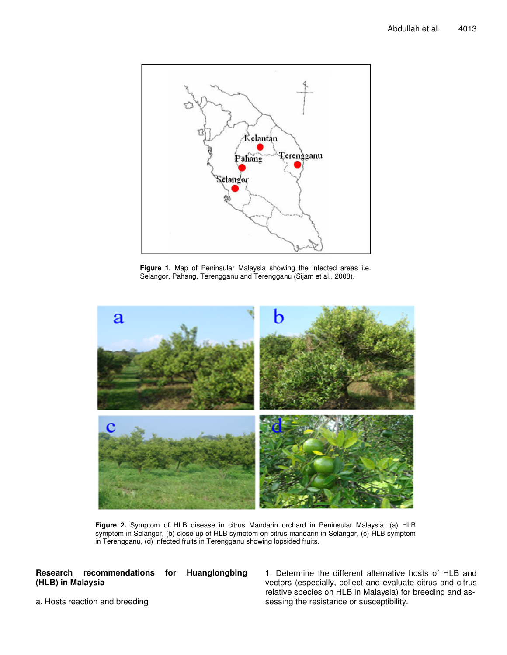

**Figure 1.** Map of Peninsular Malaysia showing the infected areas i.e. Selangor, Pahang, Terengganu and Terengganu (Sijam et al., 2008).



**Figure 2.** Symptom of HLB disease in citrus Mandarin orchard in Peninsular Malaysia; (a) HLB symptom in Selangor, (b) close up of HLB symptom on citrus mandarin in Selangor, (c) HLB symptom in Terengganu, (d) infected fruits in Terengganu showing lopsided fruits.

## **Research recommendations for Huanglongbing (HLB) in Malaysia**

1. Determine the different alternative hosts of HLB and vectors (especially, collect and evaluate citrus and citrus relative species on HLB in Malaysia) for breeding and assessing the resistance or susceptibility.

a. Hosts reaction and breeding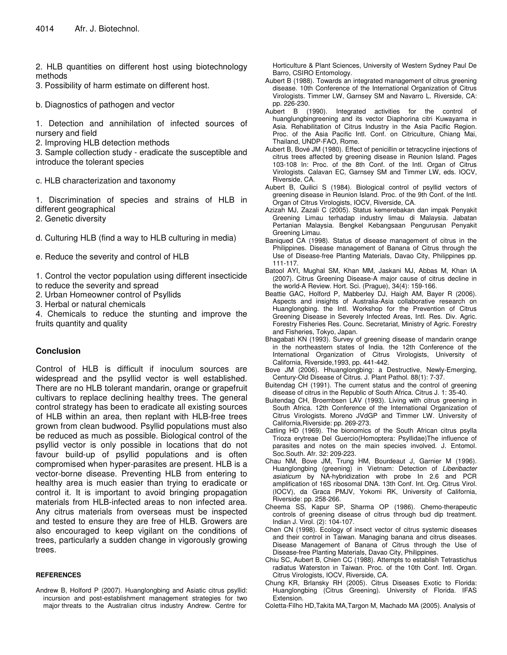2. HLB quantities on different host using biotechnology methods

3. Possibility of harm estimate on different host.

b. Diagnostics of pathogen and vector

1. Detection and annihilation of infected sources of nursery and field

2. Improving HLB detection methods

3. Sample collection study - eradicate the susceptible and introduce the tolerant species

c. HLB characterization and taxonomy

1. Discrimination of species and strains of HLB in different geographical

2. Genetic diversity

d. Culturing HLB (find a way to HLB culturing in media)

e. Reduce the severity and control of HLB

- 1. Control the vector population using different insecticide
- to reduce the severity and spread
- 2. Urban Homeowner control of Psyllids
- 3. Herbal or natural chemicals

4. Chemicals to reduce the stunting and improve the fruits quantity and quality

## **Conclusion**

Control of HLB is difficult if inoculum sources are widespread and the psyllid vector is well established. There are no HLB tolerant mandarin, orange or grapefruit cultivars to replace declining healthy trees. The general control strategy has been to eradicate all existing sources of HLB within an area, then replant with HLB-free trees grown from clean budwood. Psyllid populations must also be reduced as much as possible. Biological control of the psyllid vector is only possible in locations that do not favour build-up of psyllid populations and is often compromised when hyper-parasites are present. HLB is a vector-borne disease. Preventing HLB from entering to healthy area is much easier than trying to eradicate or control it. It is important to avoid bringing propagation materials from HLB-infected areas to non infected area. Any citrus materials from overseas must be inspected and tested to ensure they are free of HLB. Growers are also encouraged to keep vigilant on the conditions of trees, particularly a sudden change in vigorously growing trees.

#### **REFERENCES**

Andrew B, Holford P (2007). Huanglongbing and Asiatic citrus psyllid: incursion and post-establishment management strategies for two major threats to the Australian citrus industry Andrew. Centre for

Horticulture & Plant Sciences, University of Western Sydney Paul De Barro, CSIRO Entomology.

- Aubert B (1988). Towards an integrated management of citrus greening disease. 10th Conference of the International Organization of Citrus Virologists. Timmer LW, Garnsey SM and Navarro L. Riverside, CA: pp. 226-230.<br>Aubert B (1990).
- Integrated activities for the control of huanglungbingreening and its vector Diaphorina citri Kuwayama in Asia. Rehabilitation of Citrus Industry in the Asia Pacific Region. Proc. of the Asia Pacific Intl. Conf. on Citriculture, Chiang Mai, Thailand, UNDP-FAO, Rome.
- Aubert B, Bové JM (1980). Effect of penicillin or tetracycline injections of citrus trees affected by greening disease in Reunion Island. Pages 103-108 In: Proc. of the 8th Conf. of the Intl. Organ of Citrus Virologists. Calavan EC, Garnsey SM and Timmer LW, eds. IOCV, Riverside, CA.
- Aubert B, Quilici S (1984). Biological control of psyllid vectors of greening disease in Reunion Island. Proc. of the 9th Conf. of the Intl. Organ of Citrus Virologists, IOCV, Riverside, CA.
- Azizah MJ, Zazali C (2005). Status kemerebakan dan impak Penyakit Greening Limau terhadap industry limau di Malaysia. Jabatan Pertanian Malaysia. Bengkel Kebangsaan Pengurusan Penyakit Greening Limau.
- Baniqued CA (1998). Status of disease management of citrus in the Philippines. Disease management of Banana of Citrus through the Use of Disease-free Planting Materials, Davao City, Philippines pp. 111-117.
- Batool AYI, Mughal SM, Khan MM, Jaskani MJ, Abbas M, Khan IA (2007). Citrus Greening Disease-A major cause of citrus decline in the world-A Review. Hort. Sci. (Prague), 34(4): 159-166.
- Beattie GAC, Holford P, Mabberley DJ, Haigh AM, Bayer R (2006). Aspects and insights of Australia-Asia collaborative research on Huanglongbing. the Intl. Workshop for the Prevention of Citrus Greening Disease in Severely Infected Areas, Intl. Res. Div. Agric. Forestry Fisheries Res. Counc. Secretariat, Ministry of Agric. Forestry and Fisheries, Tokyo, Japan.
- Bhagabati KN (1993). Survey of greening disease of mandarin orange in the northeastern states of India. the 12th Conference of the International Organization of Citrus Virologists, University of California, Riverside,1993, pp. 441-442.
- Bove JM (2006). Hhuanglongbing: a Destructive, Newly-Emerging, Century-Old Disease of Citrus. J. Plant Pathol. 88(1): 7-37.
- Buitendag CH (1991). The current status and the control of greening disease of citrus in the Republic of South Africa. Citrus J. 1: 35-40.
- Buitendag CH, Broembsen LAV (1993). Living with citrus greening in South Africa. 12th Conference of the International Organization of Citrus Virologists. Moreno JVdGP and Timmer LW. University of California,Riverside: pp. 269-273.
- Catling HD (1969). The bionomics of the South African citrus psylla Trioza erytreae Del Guercio(Homoptera: Psyllidae)The influence of parasites and notes on the main species involved. J. Entomol. Soc.South. Afr. 32: 209-223.
- Chau NM, Bove JM, Trung HM, Bourdeaut J, Garnier M (1996). Huanglongbing (greening) in Vietnam: Detection of *Liberibacter asiaticum* by NA-hybridization with probe In 2.6 and PCR amplification of 16S ribosomal DNA. 13th Conf. Int. Org. Citrus Virol. (IOCV), da Graca PMJV, Yokomi RK, University of California, Riverside: pp. 258-266.
- Cheema SS, Kapur SP, Sharma OP (1986). Chemo-therapeutic controls of greening disease of citrus through bud dip treatment. Indian J. Virol. (2): 104-107.
- Chen CN (1998). Ecology of insect vector of citrus systemic diseases and their control in Taiwan. Managing banana and citrus diseases. Disease Management of Banana of Citrus through the Use of Disease-free Planting Materials, Davao City, Philippines.
- Chiu SC, Aubert B, Chien CC (1988). Attempts to establish Tetrastichus radiatus Waterston in Taiwan. Proc. of the 10th Conf. Intl. Organ. Citrus Virologists, IOCV, Riverside, CA.
- Chung KR, Brlansky RH (2005). Citrus Diseases Exotic to Florida: Huanglongbing (Citrus Greening). University of Florida. IFAS Extension.
- Coletta-Filho HD,Takita MA,Targon M, Machado MA (2005). Analysis of